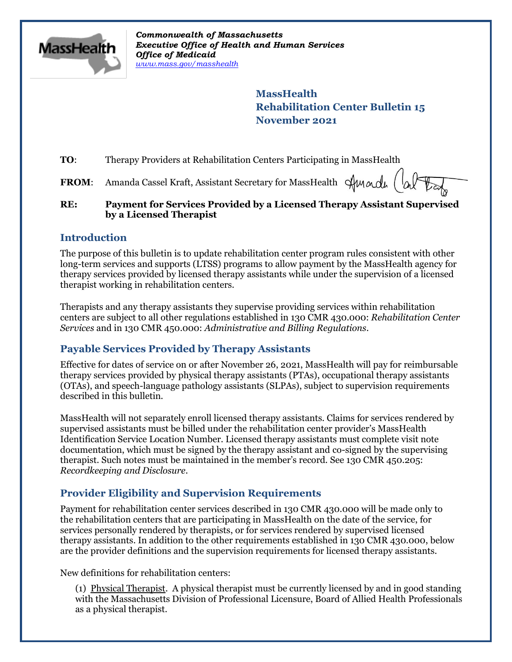

*Commonwealth of Massachusetts Executive Office of Health and Human Services Office of Medicaid [www.mass.gov/masshealth](http://www.mass.gov/masshealth)*

> **MassHealth Rehabilitation Center Bulletin 15 November 2021**

**TO:** Therapy Providers at Rehabilitation Centers Participating in MassHealth

**FROM:** Amanda Cassel Kraft, Assistant Secretary for MassHealth Sunnal

#### **RE: Payment for Services Provided by a Licensed Therapy Assistant Supervised by a Licensed Therapist**

#### **Introduction**

The purpose of this bulletin is to update rehabilitation center program rules consistent with other long-term services and supports (LTSS) programs to allow payment by the MassHealth agency for therapy services provided by licensed therapy assistants while under the supervision of a licensed therapist working in rehabilitation centers.

Therapists and any therapy assistants they supervise providing services within rehabilitation centers are subject to all other regulations established in 130 CMR 430.000: *Rehabilitation Center Services* and in 130 CMR 450.000: *Administrative and Billing Regulations*.

# **Payable Services Provided by Therapy Assistants**

Effective for dates of service on or after November 26, 2021, MassHealth will pay for reimbursable therapy services provided by physical therapy assistants (PTAs), occupational therapy assistants (OTAs), and speech-language pathology assistants (SLPAs), subject to supervision requirements described in this bulletin.

MassHealth will not separately enroll licensed therapy assistants. Claims for services rendered by supervised assistants must be billed under the rehabilitation center provider's MassHealth Identification Service Location Number. Licensed therapy assistants must complete visit note documentation, which must be signed by the therapy assistant and co-signed by the supervising therapist. Such notes must be maintained in the member's record. See 130 CMR 450.205: *Recordkeeping and Disclosure*.

# **Provider Eligibility and Supervision Requirements**

Payment for rehabilitation center services described in 130 CMR 430.000 will be made only to the rehabilitation centers that are participating in MassHealth on the date of the service, for services personally rendered by therapists, or for services rendered by supervised licensed therapy assistants. In addition to the other requirements established in 130 CMR 430.000, below are the provider definitions and the supervision requirements for licensed therapy assistants.

New definitions for rehabilitation centers:

(1) Physical Therapist. A physical therapist must be currently licensed by and in good standing with the Massachusetts Division of Professional Licensure, Board of Allied Health Professionals as a physical therapist.